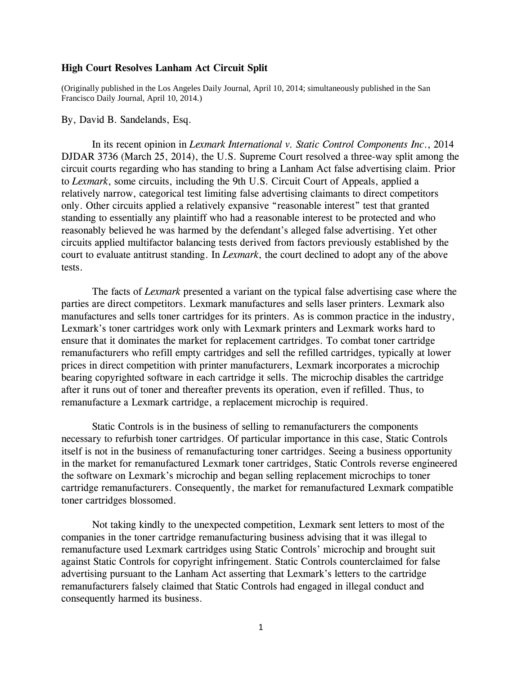## **High Court Resolves Lanham Act Circuit Split**

(Originally published in the Los Angeles Daily Journal, April 10, 2014; simultaneously published in the San Francisco Daily Journal, April 10, 2014.)

## By, David B. Sandelands, Esq.

In its recent opinion in *Lexmark International v. Static Control Components Inc*., 2014 DJDAR 3736 (March 25, 2014), the U.S. Supreme Court resolved a three-way split among the circuit courts regarding who has standing to bring a Lanham Act false advertising claim. Prior to *Lexmark*, some circuits, including the 9th U.S. Circuit Court of Appeals, applied a relatively narrow, categorical test limiting false advertising claimants to direct competitors only. Other circuits applied a relatively expansive "reasonable interest" test that granted standing to essentially any plaintiff who had a reasonable interest to be protected and who reasonably believed he was harmed by the defendant's alleged false advertising. Yet other circuits applied multifactor balancing tests derived from factors previously established by the court to evaluate antitrust standing. In *Lexmark*, the court declined to adopt any of the above tests.

The facts of *Lexmark* presented a variant on the typical false advertising case where the parties are direct competitors. Lexmark manufactures and sells laser printers. Lexmark also manufactures and sells toner cartridges for its printers. As is common practice in the industry, Lexmark's toner cartridges work only with Lexmark printers and Lexmark works hard to ensure that it dominates the market for replacement cartridges. To combat toner cartridge remanufacturers who refill empty cartridges and sell the refilled cartridges, typically at lower prices in direct competition with printer manufacturers, Lexmark incorporates a microchip bearing copyrighted software in each cartridge it sells. The microchip disables the cartridge after it runs out of toner and thereafter prevents its operation, even if refilled. Thus, to remanufacture a Lexmark cartridge, a replacement microchip is required.

Static Controls is in the business of selling to remanufacturers the components necessary to refurbish toner cartridges. Of particular importance in this case, Static Controls itself is not in the business of remanufacturing toner cartridges. Seeing a business opportunity in the market for remanufactured Lexmark toner cartridges, Static Controls reverse engineered the software on Lexmark's microchip and began selling replacement microchips to toner cartridge remanufacturers. Consequently, the market for remanufactured Lexmark compatible toner cartridges blossomed.

Not taking kindly to the unexpected competition, Lexmark sent letters to most of the companies in the toner cartridge remanufacturing business advising that it was illegal to remanufacture used Lexmark cartridges using Static Controls' microchip and brought suit against Static Controls for copyright infringement. Static Controls counterclaimed for false advertising pursuant to the Lanham Act asserting that Lexmark's letters to the cartridge remanufacturers falsely claimed that Static Controls had engaged in illegal conduct and consequently harmed its business.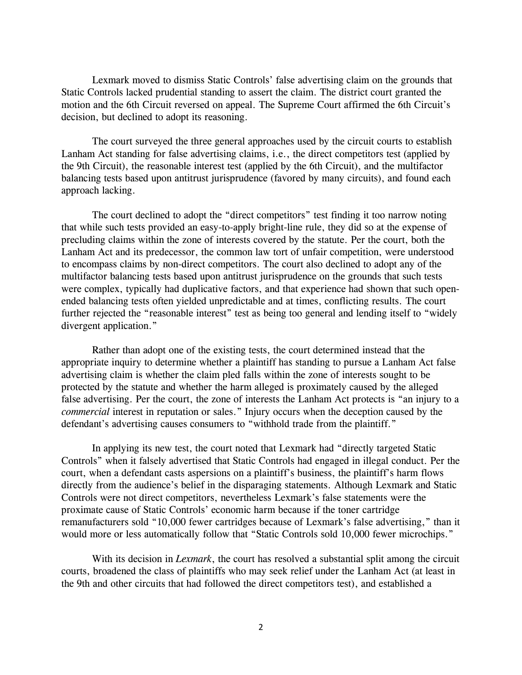Lexmark moved to dismiss Static Controls' false advertising claim on the grounds that Static Controls lacked prudential standing to assert the claim. The district court granted the motion and the 6th Circuit reversed on appeal. The Supreme Court affirmed the 6th Circuit's decision, but declined to adopt its reasoning.

The court surveyed the three general approaches used by the circuit courts to establish Lanham Act standing for false advertising claims, i.e., the direct competitors test (applied by the 9th Circuit), the reasonable interest test (applied by the 6th Circuit), and the multifactor balancing tests based upon antitrust jurisprudence (favored by many circuits), and found each approach lacking.

The court declined to adopt the "direct competitors" test finding it too narrow noting that while such tests provided an easy-to-apply bright-line rule, they did so at the expense of precluding claims within the zone of interests covered by the statute. Per the court, both the Lanham Act and its predecessor, the common law tort of unfair competition, were understood to encompass claims by non-direct competitors. The court also declined to adopt any of the multifactor balancing tests based upon antitrust jurisprudence on the grounds that such tests were complex, typically had duplicative factors, and that experience had shown that such openended balancing tests often yielded unpredictable and at times, conflicting results. The court further rejected the "reasonable interest" test as being too general and lending itself to "widely" divergent application."

Rather than adopt one of the existing tests, the court determined instead that the appropriate inquiry to determine whether a plaintiff has standing to pursue a Lanham Act false advertising claim is whether the claim pled falls within the zone of interests sought to be protected by the statute and whether the harm alleged is proximately caused by the alleged false advertising. Per the court, the zone of interests the Lanham Act protects is "an injury to a *commercial* interest in reputation or sales." Injury occurs when the deception caused by the defendant's advertising causes consumers to "withhold trade from the plaintiff."

In applying its new test, the court noted that Lexmark had "directly targeted Static Controls" when it falsely advertised that Static Controls had engaged in illegal conduct. Per the court, when a defendant casts aspersions on a plaintiff's business, the plaintiff's harm flows directly from the audience's belief in the disparaging statements. Although Lexmark and Static Controls were not direct competitors, nevertheless Lexmark's false statements were the proximate cause of Static Controls' economic harm because if the toner cartridge remanufacturers sold "10,000 fewer cartridges because of Lexmark's false advertising," than it would more or less automatically follow that "Static Controls sold 10,000 fewer microchips."

With its decision in *Lexmark*, the court has resolved a substantial split among the circuit courts, broadened the class of plaintiffs who may seek relief under the Lanham Act (at least in the 9th and other circuits that had followed the direct competitors test), and established a